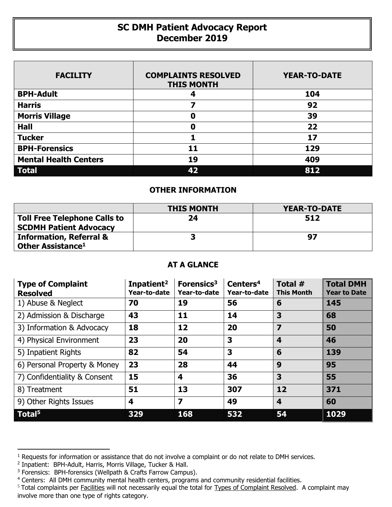## **SC DMH Patient Advocacy Report December 2019**

| <b>FACILITY</b>              | <b>COMPLAINTS RESOLVED</b><br><b>THIS MONTH</b> | <b>YEAR-TO-DATE</b> |
|------------------------------|-------------------------------------------------|---------------------|
| <b>BPH-Adult</b>             | 4                                               | 104                 |
| <b>Harris</b>                |                                                 | 92                  |
| <b>Morris Village</b>        | 0                                               | 39                  |
| <b>Hall</b>                  | 0                                               | 22                  |
| <b>Tucker</b>                |                                                 | 17                  |
| <b>BPH-Forensics</b>         | 11                                              | 129                 |
| <b>Mental Health Centers</b> | 19                                              | 409                 |
| <b>Total</b>                 | 42                                              | 812                 |

## **OTHER INFORMATION**

|                                                                      | <b>THIS MONTH</b> | <b>YEAR-TO-DATE</b> |
|----------------------------------------------------------------------|-------------------|---------------------|
| <b>Toll Free Telephone Calls to</b><br><b>SCDMH Patient Advocacy</b> | 24                | 512                 |
| <b>Information, Referral &amp;</b><br>Other Assistance <sup>1</sup>  |                   | 97                  |

## **AT A GLANCE**

| <b>Type of Complaint</b><br><b>Resolved</b> | Inpatient <sup>2</sup><br>Year-to-date | Forensics <sup>3</sup><br>Year-to-date | Centers <sup>4</sup><br>Year-to-date | Total #<br><b>This Month</b> | <b>Total DMH</b><br><b>Year to Date</b> |
|---------------------------------------------|----------------------------------------|----------------------------------------|--------------------------------------|------------------------------|-----------------------------------------|
| 1) Abuse & Neglect                          | 70                                     | 19                                     | 56                                   | 6                            | 145                                     |
| 2) Admission & Discharge                    | 43                                     | 11                                     | 14                                   | 3                            | 68                                      |
| 3) Information & Advocacy                   | 18                                     | 12                                     | 20                                   | 7                            | 50                                      |
| 4) Physical Environment                     | 23                                     | 20                                     | 3                                    | $\boldsymbol{4}$             | 46                                      |
| 5) Inpatient Rights                         | 82                                     | 54                                     | 3                                    | 6                            | 139                                     |
| 6) Personal Property & Money                | 23                                     | 28                                     | 44                                   | 9                            | 95                                      |
| 7) Confidentiality & Consent                | 15                                     | $\overline{\mathbf{4}}$                | 36                                   | 3                            | 55                                      |
| 8) Treatment                                | 51                                     | 13                                     | 307                                  | 12                           | 371                                     |
| 9) Other Rights Issues                      | 4                                      | $\overline{\mathbf{z}}$                | 49                                   | $\overline{\mathbf{4}}$      | 60                                      |
| Total <sup>5</sup>                          | 329                                    | 168                                    | 532                                  | 54                           | 1029                                    |

 $\overline{a}$ 

<sup>&</sup>lt;sup>1</sup> Requests for information or assistance that do not involve a complaint or do not relate to DMH services.

<sup>2</sup> Inpatient: BPH-Adult, Harris, Morris Village, Tucker & Hall.

<sup>&</sup>lt;sup>3</sup> Forensics: BPH-forensics (Wellpath & Crafts Farrow Campus).

<sup>&</sup>lt;sup>4</sup> Centers: All DMH community mental health centers, programs and community residential facilities.

<sup>&</sup>lt;sup>5</sup> Total complaints per Facilities will not necessarily equal the total for Types of Complaint Resolved. A complaint may involve more than one type of rights category.